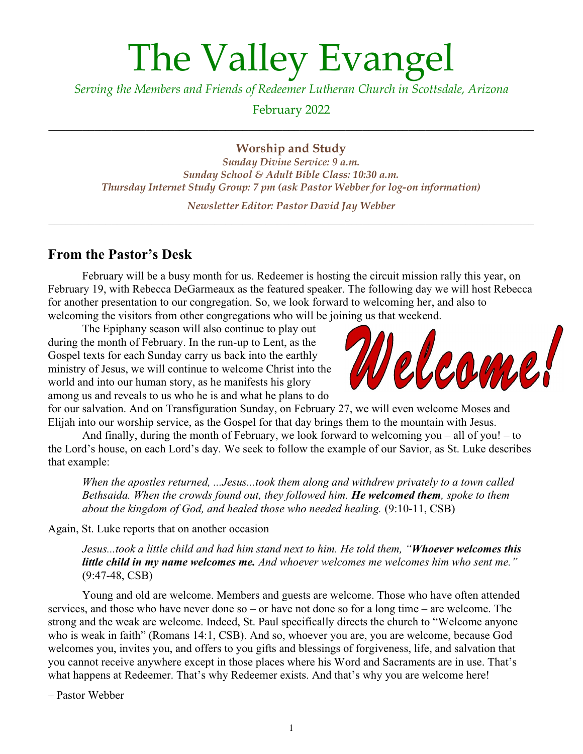# The Valley Evangel

*Serving the Members and Friends of Redeemer Lutheran Church in Scottsdale, Arizona*

February 2022

**Worship and Study**

*Sunday Divine Service: 9 a.m. Sunday School & Adult Bible Class: 10:30 a.m. Thursday Internet Study Group: 7 pm (ask Pastor Webber for log-on information)*

*Newsletter Editor: Pastor David Jay Webber* \_\_\_\_\_\_\_\_\_\_\_\_\_\_\_\_\_\_\_\_\_\_\_\_\_\_\_\_\_\_\_\_\_\_\_\_\_\_\_\_\_\_\_\_\_\_\_\_\_\_\_\_\_\_\_\_\_\_\_\_\_\_\_\_\_\_\_\_\_\_\_\_\_\_\_\_\_\_\_\_\_\_\_\_\_

#### **From the Pastor's Desk**

February will be a busy month for us. Redeemer is hosting the circuit mission rally this year, on February 19, with Rebecca DeGarmeaux as the featured speaker. The following day we will host Rebecca for another presentation to our congregation. So, we look forward to welcoming her, and also to welcoming the visitors from other congregations who will be joining us that weekend.

The Epiphany season will also continue to play out during the month of February. In the run-up to Lent, as the Gospel texts for each Sunday carry us back into the earthly ministry of Jesus, we will continue to welcome Christ into the world and into our human story, as he manifests his glory among us and reveals to us who he is and what he plans to do



for our salvation. And on Transfiguration Sunday, on February 27, we will even welcome Moses and Elijah into our worship service, as the Gospel for that day brings them to the mountain with Jesus.

And finally, during the month of February, we look forward to welcoming you – all of you! – to the Lord's house, on each Lord's day. We seek to follow the example of our Savior, as St. Luke describes that example:

*When the apostles returned, ...Jesus...took them along and withdrew privately to a town called Bethsaida. When the crowds found out, they followed him. He welcomed them, spoke to them about the kingdom of God, and healed those who needed healing.* (9:10-11, CSB)

Again, St. Luke reports that on another occasion

*Jesus...took a little child and had him stand next to him. He told them, "Whoever welcomes this little child in my name welcomes me. And whoever welcomes me welcomes him who sent me."* (9:47-48, CSB)

Young and old are welcome. Members and guests are welcome. Those who have often attended services, and those who have never done so – or have not done so for a long time – are welcome. The strong and the weak are welcome. Indeed, St. Paul specifically directs the church to "Welcome anyone who is weak in faith" (Romans 14:1, CSB). And so, whoever you are, you are welcome, because God welcomes you, invites you, and offers to you gifts and blessings of forgiveness, life, and salvation that you cannot receive anywhere except in those places where his Word and Sacraments are in use. That's what happens at Redeemer. That's why Redeemer exists. And that's why you are welcome here!

– Pastor Webber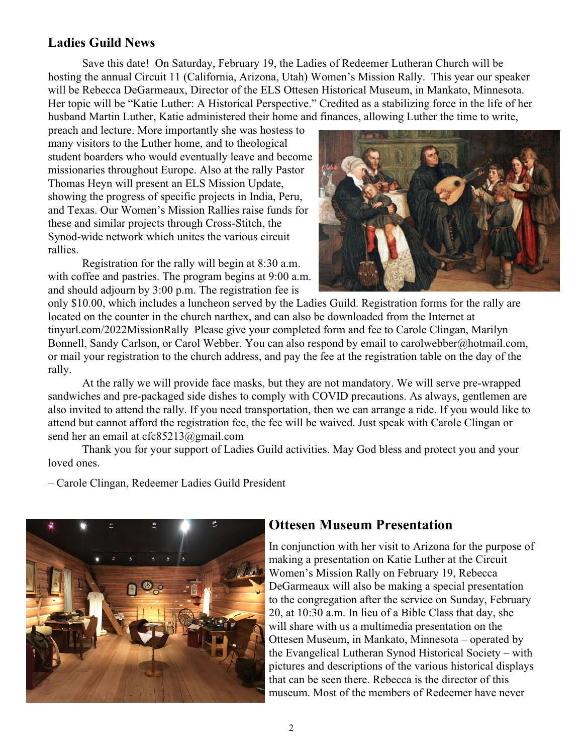#### **Ladies Guild News**

Save this date! On Saturday, February 19, the Ladies of Redeemer Lutheran Church will be hosting the annual Circuit 11 (California, Arizona, Utah) Women's Mission Rally. This year our speaker will be Rebecca DeGarmeaux, Director of the ELS Ottesen Historical Museum, in Mankato, Minnesota. Her topic will be "Katie Luther: A Historical Perspective." Credited as a stabilizing force in the life of her husband Martin Luther, Katie administered their home and finances, allowing Luther the time to write,

preach and lecture. More importantly she was hostess to many visitors to the Luther home, and to theological student boarders who would eventually leave and become missionaries throughout Europe. Also at the rally Pastor Thomas Heyn will present an ELS Mission Update, showing the progress of specific projects in India, Peru, and Texas. Our Women's Mission Rallies raise funds for these and similar projects through Cross-Stitch, the Synod-wide network which unites the various circuit rallies.

Registration for the rally will begin at 8:30 a.m. with coffee and pastries. The program begins at 9:00 a.m. and should adjourn by 3:00 p.m. The registration fee is



only \$10.00, which includes a luncheon served by the Ladies Guild. Registration forms for the rally are located on the counter in the church narthex, and can also be downloaded from the Internet at tinyurl.com/2022MissionRally Please give your completed form and fee to Carole Clingan, Marilyn Bonnell, Sandy Carlson, or Carol Webber. You can also respond by email to carolwebber@hotmail.com, or mail your registration to the church address, and pay the fee at the registration table on the day of the rally.

At the rally we will provide face masks, but they are not mandatory. We will serve pre-wrapped sandwiches and pre-packaged side dishes to comply with COVID precautions. As always, gentlemen are also invited to attend the rally. If you need transportation, then we can arrange a ride. If you would like to attend but cannot afford the registration fee, the fee will be waived. Just speak with Carole Clingan or send her an email at cfc85213@gmail.com

Thank you for your support of Ladies Guild activities. May God bless and protect you and your loved ones.

– Carole Clingan, Redeemer Ladies Guild President



#### **Ottesen Museum Presentation**

In conjunction with her visit to Arizona for the purpose of making a presentation on Katie Luther at the Circuit Women's Mission Rally on February 19, Rebecca DeGarmeaux will also be making a special presentation to the congregation after the service on Sunday, February 20, at 10:30 a.m. In lieu of a Bible Class that day, she will share with us a multimedia presentation on the Ottesen Museum, in Mankato, Minnesota – operated by the Evangelical Lutheran Synod Historical Society – with pictures and descriptions of the various historical displays that can be seen there. Rebecca is the director of this museum. Most of the members of Redeemer have never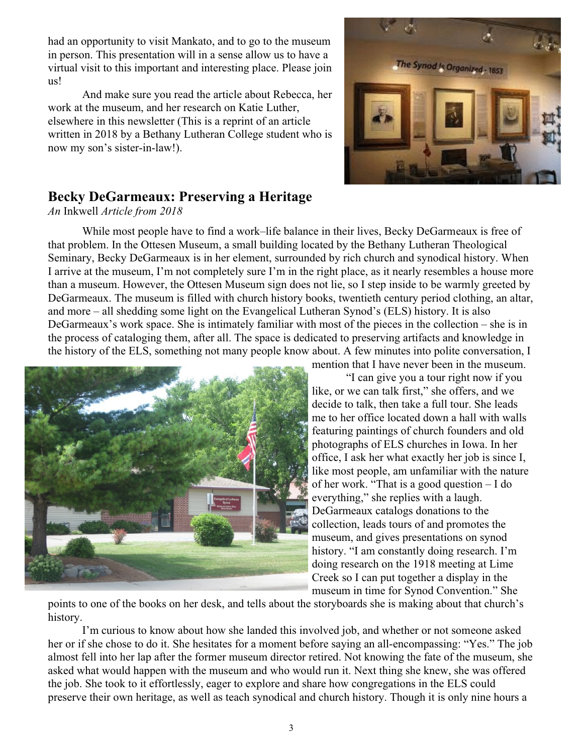had an opportunity to visit Mankato, and to go to the museum in person. This presentation will in a sense allow us to have a virtual visit to this important and interesting place. Please join us!

And make sure you read the article about Rebecca, her work at the museum, and her research on Katie Luther, elsewhere in this newsletter (This is a reprint of an article written in 2018 by a Bethany Lutheran College student who is now my son's sister-in-law!).



### **Becky DeGarmeaux: Preserving a Heritage**

*An* Inkwell *Article from 2018*

While most people have to find a work–life balance in their lives, Becky DeGarmeaux is free of that problem. In the Ottesen Museum, a small building located by the Bethany Lutheran Theological Seminary, Becky DeGarmeaux is in her element, surrounded by rich church and synodical history. When I arrive at the museum, I'm not completely sure I'm in the right place, as it nearly resembles a house more than a museum. However, the Ottesen Museum sign does not lie, so I step inside to be warmly greeted by DeGarmeaux. The museum is filled with church history books, twentieth century period clothing, an altar, and more – all shedding some light on the Evangelical Lutheran Synod's (ELS) history. It is also DeGarmeaux's work space. She is intimately familiar with most of the pieces in the collection – she is in the process of cataloging them, after all. The space is dedicated to preserving artifacts and knowledge in the history of the ELS, something not many people know about. A few minutes into polite conversation, I



mention that I have never been in the museum.

"I can give you a tour right now if you like, or we can talk first," she offers, and we decide to talk, then take a full tour. She leads me to her office located down a hall with walls featuring paintings of church founders and old photographs of ELS churches in Iowa. In her office, I ask her what exactly her job is since I, like most people, am unfamiliar with the nature of her work. "That is a good question – I do everything," she replies with a laugh. DeGarmeaux catalogs donations to the collection, leads tours of and promotes the museum, and gives presentations on synod history. "I am constantly doing research. I'm doing research on the 1918 meeting at Lime Creek so I can put together a display in the museum in time for Synod Convention." She

points to one of the books on her desk, and tells about the storyboards she is making about that church's history.

I'm curious to know about how she landed this involved job, and whether or not someone asked her or if she chose to do it. She hesitates for a moment before saying an all-encompassing: "Yes." The job almost fell into her lap after the former museum director retired. Not knowing the fate of the museum, she asked what would happen with the museum and who would run it. Next thing she knew, she was offered the job. She took to it effortlessly, eager to explore and share how congregations in the ELS could preserve their own heritage, as well as teach synodical and church history. Though it is only nine hours a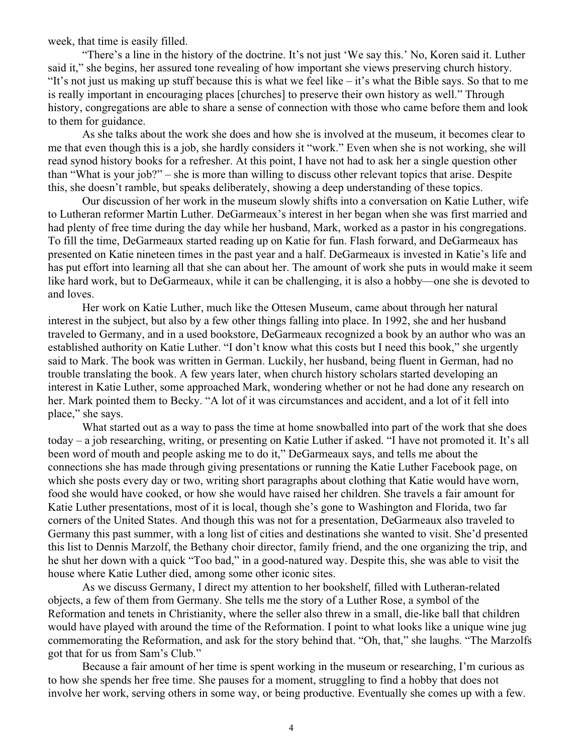week, that time is easily filled.

"There's a line in the history of the doctrine. It's not just 'We say this.' No, Koren said it. Luther said it," she begins, her assured tone revealing of how important she views preserving church history. "It's not just us making up stuff because this is what we feel like  $-i$  t's what the Bible says. So that to me is really important in encouraging places [churches] to preserve their own history as well." Through history, congregations are able to share a sense of connection with those who came before them and look to them for guidance.

As she talks about the work she does and how she is involved at the museum, it becomes clear to me that even though this is a job, she hardly considers it "work." Even when she is not working, she will read synod history books for a refresher. At this point, I have not had to ask her a single question other than "What is your job?" – she is more than willing to discuss other relevant topics that arise. Despite this, she doesn't ramble, but speaks deliberately, showing a deep understanding of these topics.

Our discussion of her work in the museum slowly shifts into a conversation on Katie Luther, wife to Lutheran reformer Martin Luther. DeGarmeaux's interest in her began when she was first married and had plenty of free time during the day while her husband, Mark, worked as a pastor in his congregations. To fill the time, DeGarmeaux started reading up on Katie for fun. Flash forward, and DeGarmeaux has presented on Katie nineteen times in the past year and a half. DeGarmeaux is invested in Katie's life and has put effort into learning all that she can about her. The amount of work she puts in would make it seem like hard work, but to DeGarmeaux, while it can be challenging, it is also a hobby—one she is devoted to and loves.

Her work on Katie Luther, much like the Ottesen Museum, came about through her natural interest in the subject, but also by a few other things falling into place. In 1992, she and her husband traveled to Germany, and in a used bookstore, DeGarmeaux recognized a book by an author who was an established authority on Katie Luther. "I don't know what this costs but I need this book," she urgently said to Mark. The book was written in German. Luckily, her husband, being fluent in German, had no trouble translating the book. A few years later, when church history scholars started developing an interest in Katie Luther, some approached Mark, wondering whether or not he had done any research on her. Mark pointed them to Becky. "A lot of it was circumstances and accident, and a lot of it fell into place," she says.

What started out as a way to pass the time at home snowballed into part of the work that she does today – a job researching, writing, or presenting on Katie Luther if asked. "I have not promoted it. It's all been word of mouth and people asking me to do it," DeGarmeaux says, and tells me about the connections she has made through giving presentations or running the Katie Luther Facebook page, on which she posts every day or two, writing short paragraphs about clothing that Katie would have worn, food she would have cooked, or how she would have raised her children. She travels a fair amount for Katie Luther presentations, most of it is local, though she's gone to Washington and Florida, two far corners of the United States. And though this was not for a presentation, DeGarmeaux also traveled to Germany this past summer, with a long list of cities and destinations she wanted to visit. She'd presented this list to Dennis Marzolf, the Bethany choir director, family friend, and the one organizing the trip, and he shut her down with a quick "Too bad," in a good-natured way. Despite this, she was able to visit the house where Katie Luther died, among some other iconic sites.

As we discuss Germany, I direct my attention to her bookshelf, filled with Lutheran-related objects, a few of them from Germany. She tells me the story of a Luther Rose, a symbol of the Reformation and tenets in Christianity, where the seller also threw in a small, die-like ball that children would have played with around the time of the Reformation. I point to what looks like a unique wine jug commemorating the Reformation, and ask for the story behind that. "Oh, that," she laughs. "The Marzolfs got that for us from Sam's Club."

Because a fair amount of her time is spent working in the museum or researching, I'm curious as to how she spends her free time. She pauses for a moment, struggling to find a hobby that does not involve her work, serving others in some way, or being productive. Eventually she comes up with a few.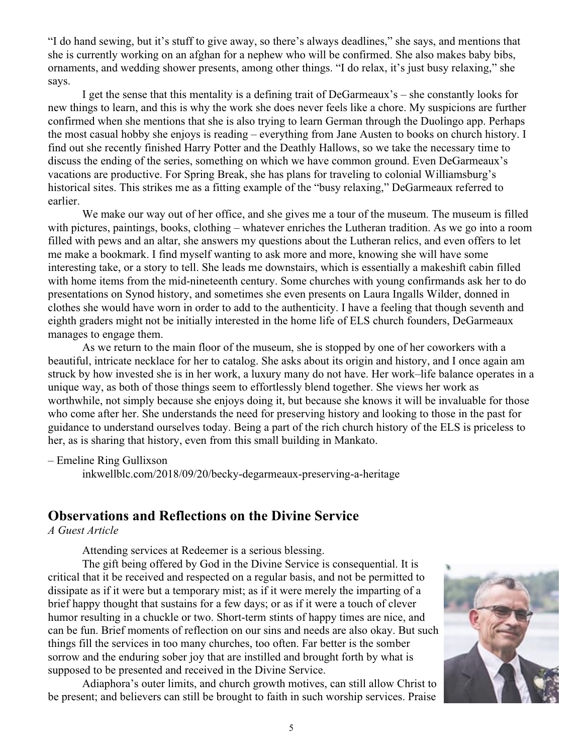"I do hand sewing, but it's stuff to give away, so there's always deadlines," she says, and mentions that she is currently working on an afghan for a nephew who will be confirmed. She also makes baby bibs, ornaments, and wedding shower presents, among other things. "I do relax, it's just busy relaxing," she says.

I get the sense that this mentality is a defining trait of DeGarmeaux's – she constantly looks for new things to learn, and this is why the work she does never feels like a chore. My suspicions are further confirmed when she mentions that she is also trying to learn German through the Duolingo app. Perhaps the most casual hobby she enjoys is reading – everything from Jane Austen to books on church history. I find out she recently finished Harry Potter and the Deathly Hallows, so we take the necessary time to discuss the ending of the series, something on which we have common ground. Even DeGarmeaux's vacations are productive. For Spring Break, she has plans for traveling to colonial Williamsburg's historical sites. This strikes me as a fitting example of the "busy relaxing," DeGarmeaux referred to earlier.

We make our way out of her office, and she gives me a tour of the museum. The museum is filled with pictures, paintings, books, clothing – whatever enriches the Lutheran tradition. As we go into a room filled with pews and an altar, she answers my questions about the Lutheran relics, and even offers to let me make a bookmark. I find myself wanting to ask more and more, knowing she will have some interesting take, or a story to tell. She leads me downstairs, which is essentially a makeshift cabin filled with home items from the mid-nineteenth century. Some churches with young confirmands ask her to do presentations on Synod history, and sometimes she even presents on Laura Ingalls Wilder, donned in clothes she would have worn in order to add to the authenticity. I have a feeling that though seventh and eighth graders might not be initially interested in the home life of ELS church founders, DeGarmeaux manages to engage them.

As we return to the main floor of the museum, she is stopped by one of her coworkers with a beautiful, intricate necklace for her to catalog. She asks about its origin and history, and I once again am struck by how invested she is in her work, a luxury many do not have. Her work–life balance operates in a unique way, as both of those things seem to effortlessly blend together. She views her work as worthwhile, not simply because she enjoys doing it, but because she knows it will be invaluable for those who come after her. She understands the need for preserving history and looking to those in the past for guidance to understand ourselves today. Being a part of the rich church history of the ELS is priceless to her, as is sharing that history, even from this small building in Mankato.

– Emeline Ring Gullixson

inkwellblc.com/2018/09/20/becky-degarmeaux-preserving-a-heritage

#### **Observations and Reflections on the Divine Service**

*A Guest Article*

Attending services at Redeemer is a serious blessing.

The gift being offered by God in the Divine Service is consequential. It is critical that it be received and respected on a regular basis, and not be permitted to dissipate as if it were but a temporary mist; as if it were merely the imparting of a brief happy thought that sustains for a few days; or as if it were a touch of clever humor resulting in a chuckle or two. Short-term stints of happy times are nice, and can be fun. Brief moments of reflection on our sins and needs are also okay. But such things fill the services in too many churches, too often. Far better is the somber sorrow and the enduring sober joy that are instilled and brought forth by what is supposed to be presented and received in the Divine Service.

Adiaphora's outer limits, and church growth motives, can still allow Christ to be present; and believers can still be brought to faith in such worship services. Praise

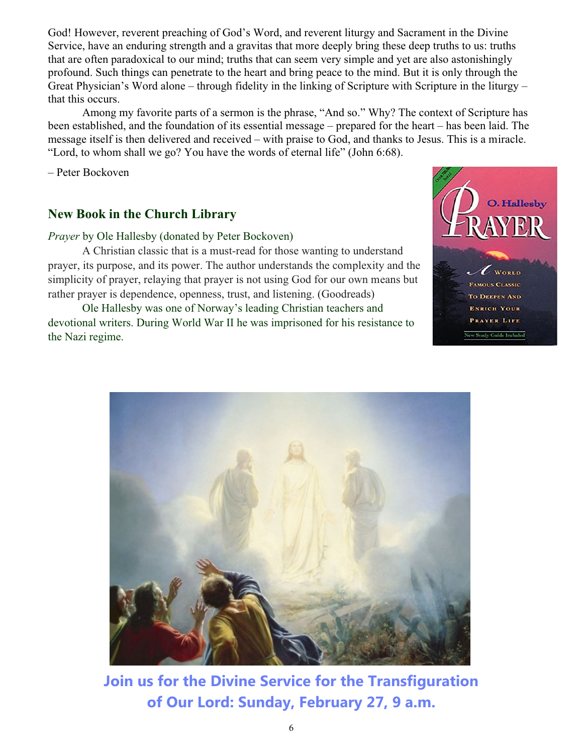God! However, reverent preaching of God's Word, and reverent liturgy and Sacrament in the Divine Service, have an enduring strength and a gravitas that more deeply bring these deep truths to us: truths that are often paradoxical to our mind; truths that can seem very simple and yet are also astonishingly profound. Such things can penetrate to the heart and bring peace to the mind. But it is only through the Great Physician's Word alone – through fidelity in the linking of Scripture with Scripture in the liturgy – that this occurs.

Among my favorite parts of a sermon is the phrase, "And so." Why? The context of Scripture has been established, and the foundation of its essential message – prepared for the heart – has been laid. The message itself is then delivered and received – with praise to God, and thanks to Jesus. This is a miracle. "Lord, to whom shall we go? You have the words of eternal life" (John 6:68).

– Peter Bockoven

#### **New Book in the Church Library**

#### *Prayer* by Ole Hallesby (donated by Peter Bockoven)

A Christian classic that is a must-read for those wanting to understand prayer, its purpose, and its power. The author understands the complexity and the simplicity of prayer, relaying that prayer is not using God for our own means but rather prayer is dependence, openness, trust, and listening. (Goodreads)

Ole Hallesby was one of Norway's leading Christian teachers and devotional writers. During World War II he was imprisoned for his resistance to the Nazi regime.





**Join us for the Divine Service for the Transfiguration of Our Lord: Sunday, February 27, 9 a.m.**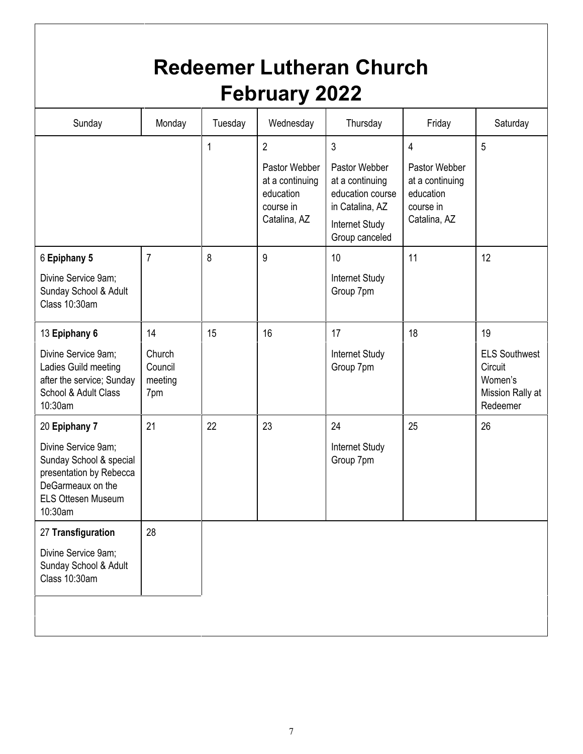| <b>Redeemer Lutheran Church</b><br><b>February 2022</b>                                                                                                 |                                           |         |                                                                                              |                                                                                                                             |                                                                                              |                                                                                  |
|---------------------------------------------------------------------------------------------------------------------------------------------------------|-------------------------------------------|---------|----------------------------------------------------------------------------------------------|-----------------------------------------------------------------------------------------------------------------------------|----------------------------------------------------------------------------------------------|----------------------------------------------------------------------------------|
| Sunday                                                                                                                                                  | Monday                                    | Tuesday | Wednesday                                                                                    | Thursday                                                                                                                    | Friday                                                                                       | Saturday                                                                         |
|                                                                                                                                                         |                                           | 1       | $\overline{2}$<br>Pastor Webber<br>at a continuing<br>education<br>course in<br>Catalina, AZ | $\mathbf{3}$<br>Pastor Webber<br>at a continuing<br>education course<br>in Catalina, AZ<br>Internet Study<br>Group canceled | $\overline{4}$<br>Pastor Webber<br>at a continuing<br>education<br>course in<br>Catalina, AZ | 5                                                                                |
| 6 Epiphany 5<br>Divine Service 9am;<br>Sunday School & Adult<br>Class 10:30am                                                                           | $\overline{7}$                            | 8       | 9                                                                                            | 10<br>Internet Study<br>Group 7pm                                                                                           | 11                                                                                           | 12                                                                               |
| 13 Epiphany 6<br>Divine Service 9am;<br>Ladies Guild meeting<br>after the service; Sunday<br>School & Adult Class<br>10:30am                            | 14<br>Church<br>Council<br>meeting<br>7pm | 15      | 16                                                                                           | 17<br>Internet Study<br>Group 7pm                                                                                           | 18                                                                                           | 19<br><b>ELS Southwest</b><br>Circuit<br>Women's<br>Mission Rally at<br>Redeemer |
| 20 Epiphany 7<br>Divine Service 9am;<br>Sunday School & special<br>presentation by Rebecca<br>DeGarmeaux on the<br><b>ELS Ottesen Museum</b><br>10:30am | 21                                        | 22      | 23                                                                                           | 24<br><b>Internet Study</b><br>Group 7pm                                                                                    | 25                                                                                           | 26                                                                               |
| 27 Transfiguration<br>Divine Service 9am;<br>Sunday School & Adult<br>Class 10:30am                                                                     | 28                                        |         |                                                                                              |                                                                                                                             |                                                                                              |                                                                                  |